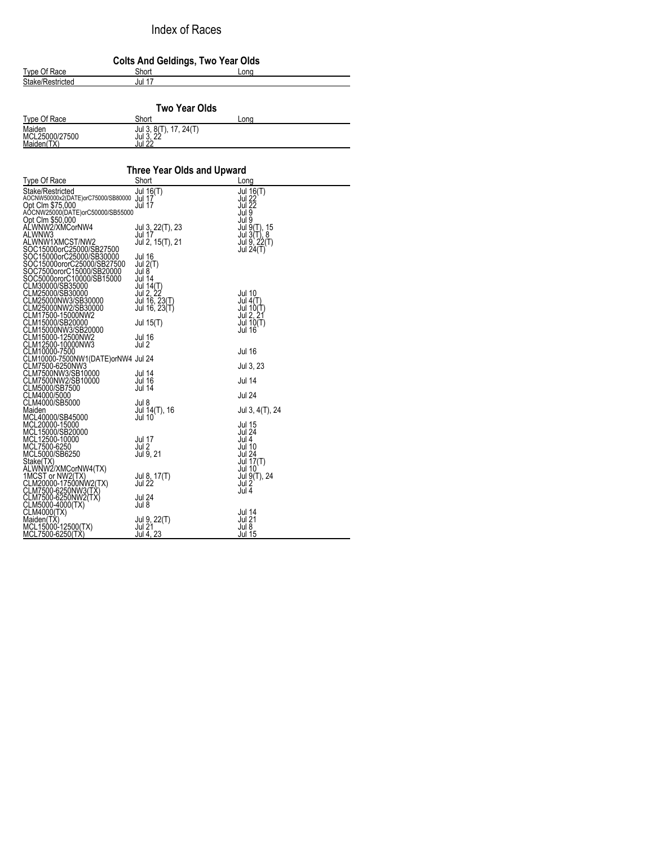## Index of Races

| <b>Colts And Geldings, Two Year Olds</b> |        |      |  |  |
|------------------------------------------|--------|------|--|--|
| Type Of Race                             | Short  | Long |  |  |
| Stake/Restricted                         | Jul 17 |      |  |  |
|                                          |        |      |  |  |

| Two Year Olds                          |                                              |      |  |  |
|----------------------------------------|----------------------------------------------|------|--|--|
| Type Of Race                           | Short                                        | Lona |  |  |
| Maiden<br>MCL25000/27500<br>Maiden(TX) | $Jul$ 3, 8(T), 17, 24(T)<br>Jul 3.<br>Jul 27 |      |  |  |

| Three Year Olds and Upward<br>Short<br>Type Of Race<br>Long<br>Stake/Restricted<br>Jul 16(T)<br>Jul 16(T)<br><b>Jul 22</b><br>AOCNW50000x2(DATE)orC75000/SB80000 Jul 17<br><b>Jul 22</b><br>Opt Clm \$75,000<br>Jul 17<br>Jul 9<br>AÓCNW25000(DATE)orC50000/SB55000<br>Opt Clm \$50,000<br>Jul 9<br>ALWNW2/XMCorNW4<br>Jul 3, 22(T), 23<br>Jul 17<br>Jul 9(T), 15<br>Jul 3(T), 8<br>ALWNW3<br>$Jul$ 9, $22(T)$<br>ALWNW1XMCST/NW2<br>Jul 2, 15(T), 21 |
|-------------------------------------------------------------------------------------------------------------------------------------------------------------------------------------------------------------------------------------------------------------------------------------------------------------------------------------------------------------------------------------------------------------------------------------------------------|
|                                                                                                                                                                                                                                                                                                                                                                                                                                                       |
|                                                                                                                                                                                                                                                                                                                                                                                                                                                       |
|                                                                                                                                                                                                                                                                                                                                                                                                                                                       |
|                                                                                                                                                                                                                                                                                                                                                                                                                                                       |
|                                                                                                                                                                                                                                                                                                                                                                                                                                                       |
|                                                                                                                                                                                                                                                                                                                                                                                                                                                       |
|                                                                                                                                                                                                                                                                                                                                                                                                                                                       |
|                                                                                                                                                                                                                                                                                                                                                                                                                                                       |
| SOC15000orC25000/SB27500<br>Jul 24(T)                                                                                                                                                                                                                                                                                                                                                                                                                 |
| SOC15000orC25000/SB30000<br>Jul 16                                                                                                                                                                                                                                                                                                                                                                                                                    |
| SOC15000ororC25000/SB27500<br>Jul 2(T)                                                                                                                                                                                                                                                                                                                                                                                                                |
| SOC7500ororC15000/SB20000<br>Jul 8                                                                                                                                                                                                                                                                                                                                                                                                                    |
| SOC5000ororC10000/SB15000<br>Jul 14<br>CLM30000/SB35000                                                                                                                                                                                                                                                                                                                                                                                               |
| Jul 14(T)<br>Jul 2, 22<br>Jul 16, 23(T)<br>CLM25000/SB30000<br>Jul 10                                                                                                                                                                                                                                                                                                                                                                                 |
| CLM25000NW3/SB30000<br>Jul $4(T)$                                                                                                                                                                                                                                                                                                                                                                                                                     |
| CLM25000NW2/SB30000<br>Jul 16, 23(T)<br>Jul 10(T)<br>Jul 2, 21                                                                                                                                                                                                                                                                                                                                                                                        |
| CLM17500-15000NW2                                                                                                                                                                                                                                                                                                                                                                                                                                     |
| CLM15000/SB20000<br>Jul 15(T)<br>Jul 10(T)                                                                                                                                                                                                                                                                                                                                                                                                            |
| CLM15000NW3/SB20000<br><b>Jul 16</b>                                                                                                                                                                                                                                                                                                                                                                                                                  |
| CLM15000-12500NW2<br>Jul 16<br>CLM12500-10000NW3<br>Jul 2                                                                                                                                                                                                                                                                                                                                                                                             |
| CLM10000-7500<br>Jul 16                                                                                                                                                                                                                                                                                                                                                                                                                               |
| CLM10000-7500NW1(DATE)orNW4 Jul 24                                                                                                                                                                                                                                                                                                                                                                                                                    |
| CLM7500-6250NW3<br>Jul 3, 23                                                                                                                                                                                                                                                                                                                                                                                                                          |
| CLM7500NW3/SB10000<br>Jul 14                                                                                                                                                                                                                                                                                                                                                                                                                          |
| CLM7500NW2/SB10000<br>Jul 14<br>Jul 16                                                                                                                                                                                                                                                                                                                                                                                                                |
| CLM5000/SB7500<br><b>Jul 14</b>                                                                                                                                                                                                                                                                                                                                                                                                                       |
| CLM4000/5000<br><b>Jul 24</b><br>CLM4000/SB5000<br>Jul 8                                                                                                                                                                                                                                                                                                                                                                                              |
| Maiden<br>Jul 14(T), 16<br>Jul 3, 4(T), 24                                                                                                                                                                                                                                                                                                                                                                                                            |
| MCL40000/SB45000<br>Jul 10                                                                                                                                                                                                                                                                                                                                                                                                                            |
| MCL20000-15000<br>Jul 15                                                                                                                                                                                                                                                                                                                                                                                                                              |
| MCL15000/SB20000<br>Jul 24                                                                                                                                                                                                                                                                                                                                                                                                                            |
| MCL12500-10000<br>Jul 17<br>Jul 4                                                                                                                                                                                                                                                                                                                                                                                                                     |
| MCL7500-6250<br>Jul 2<br>Jul 10                                                                                                                                                                                                                                                                                                                                                                                                                       |
| Jul 9, 21<br>MCL5000/SB6250<br><b>Jul 24</b>                                                                                                                                                                                                                                                                                                                                                                                                          |
| Stake(TX)<br>Jul $17(T)$<br>ALWNW2/XMCorNW4(TX)<br><b>Jul 10</b>                                                                                                                                                                                                                                                                                                                                                                                      |
| 1MCST or NW2(TX)<br>Jul 8, 17(T)<br>Jul 9(T), 24                                                                                                                                                                                                                                                                                                                                                                                                      |
| Jul 22<br>CLM20000-17500NW2(TX)<br>Jul 2                                                                                                                                                                                                                                                                                                                                                                                                              |
| CLM7500-6250NW3(TX)<br>Jul 4                                                                                                                                                                                                                                                                                                                                                                                                                          |
| CLM7500-6250NW2(TX)<br>Jul 24                                                                                                                                                                                                                                                                                                                                                                                                                         |
| CLM5000-4000(TX)<br>Jul 8                                                                                                                                                                                                                                                                                                                                                                                                                             |
| CLM4000(TX)<br>Jul 14                                                                                                                                                                                                                                                                                                                                                                                                                                 |
| Maiden(TX)<br><b>Jul 21</b><br>Jul 9, 22(T)<br>Jul 21<br>Jul 8                                                                                                                                                                                                                                                                                                                                                                                        |
| MCL15000-12500(TX)<br>Jul 4, 23<br>Jul 15<br>MCL7500-6250(TX)                                                                                                                                                                                                                                                                                                                                                                                         |